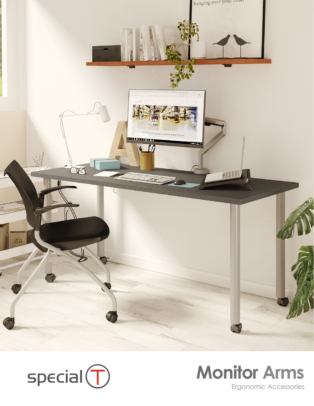